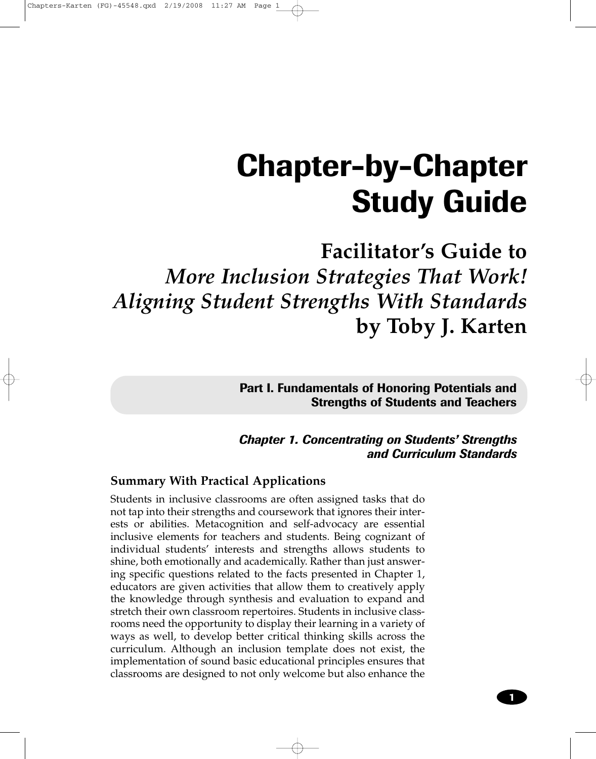# **Chapter-by-Chapter Study Guide**

# **Facilitator's Guide to** *More Inclusion Strategies That Work! Aligning Student Strengths With Standards* **by Toby J. Karten**

**Part I. Fundamentals of Honoring Potentials and Strengths of Students and Teachers**

*Chapter 1. Concentrating on Students' Strengths and Curriculum Standards*

# **Summary With Practical Applications**

Students in inclusive classrooms are often assigned tasks that do not tap into their strengths and coursework that ignores their interests or abilities. Metacognition and self-advocacy are essential inclusive elements for teachers and students. Being cognizant of individual students' interests and strengths allows students to shine, both emotionally and academically. Rather than just answering specific questions related to the facts presented in Chapter 1, educators are given activities that allow them to creatively apply the knowledge through synthesis and evaluation to expand and stretch their own classroom repertoires. Students in inclusive classrooms need the opportunity to display their learning in a variety of ways as well, to develop better critical thinking skills across the curriculum. Although an inclusion template does not exist, the implementation of sound basic educational principles ensures that classrooms are designed to not only welcome but also enhance the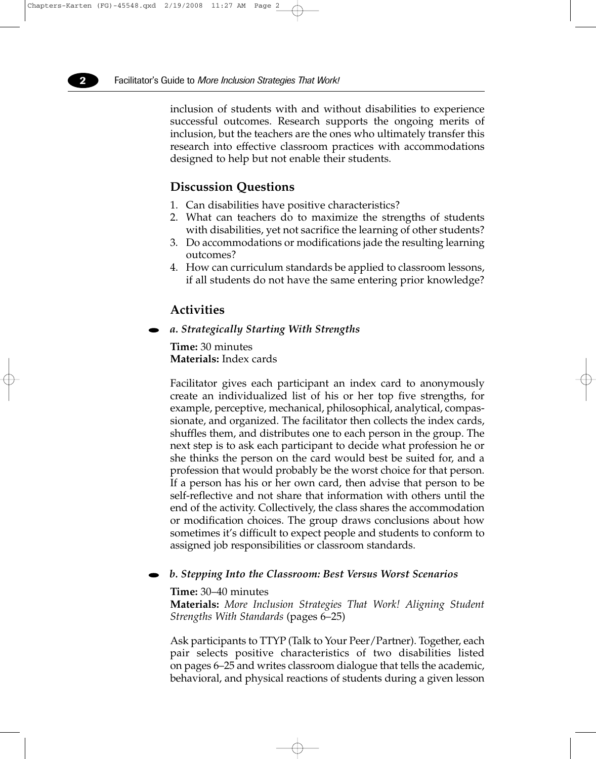inclusion of students with and without disabilities to experience successful outcomes. Research supports the ongoing merits of inclusion, but the teachers are the ones who ultimately transfer this research into effective classroom practices with accommodations designed to help but not enable their students.

# **Discussion Questions**

- 1. Can disabilities have positive characteristics?
- 2. What can teachers do to maximize the strengths of students with disabilities, yet not sacrifice the learning of other students?
- 3. Do accommodations or modifications jade the resulting learning outcomes?
- 4. How can curriculum standards be applied to classroom lessons, if all students do not have the same entering prior knowledge?

# **Activities**

*a. Strategically Starting With Strengths*

**Time:** 30 minutes **Materials:** Index cards

Facilitator gives each participant an index card to anonymously create an individualized list of his or her top five strengths, for example, perceptive, mechanical, philosophical, analytical, compassionate, and organized. The facilitator then collects the index cards, shuffles them, and distributes one to each person in the group. The next step is to ask each participant to decide what profession he or she thinks the person on the card would best be suited for, and a profession that would probably be the worst choice for that person. If a person has his or her own card, then advise that person to be self-reflective and not share that information with others until the end of the activity. Collectively, the class shares the accommodation or modification choices. The group draws conclusions about how sometimes it's difficult to expect people and students to conform to assigned job responsibilities or classroom standards.

#### *b. Stepping Into the Classroom: Best Versus Worst Scenarios*

#### **Time:** 30–40 minutes

**Materials:** *More Inclusion Strategies That Work! Aligning Student Strengths With Standards* (pages 6–25)

Ask participants to TTYP (Talk to Your Peer/Partner). Together, each pair selects positive characteristics of two disabilities listed on pages 6–25 and writes classroom dialogue that tells the academic, behavioral, and physical reactions of students during a given lesson